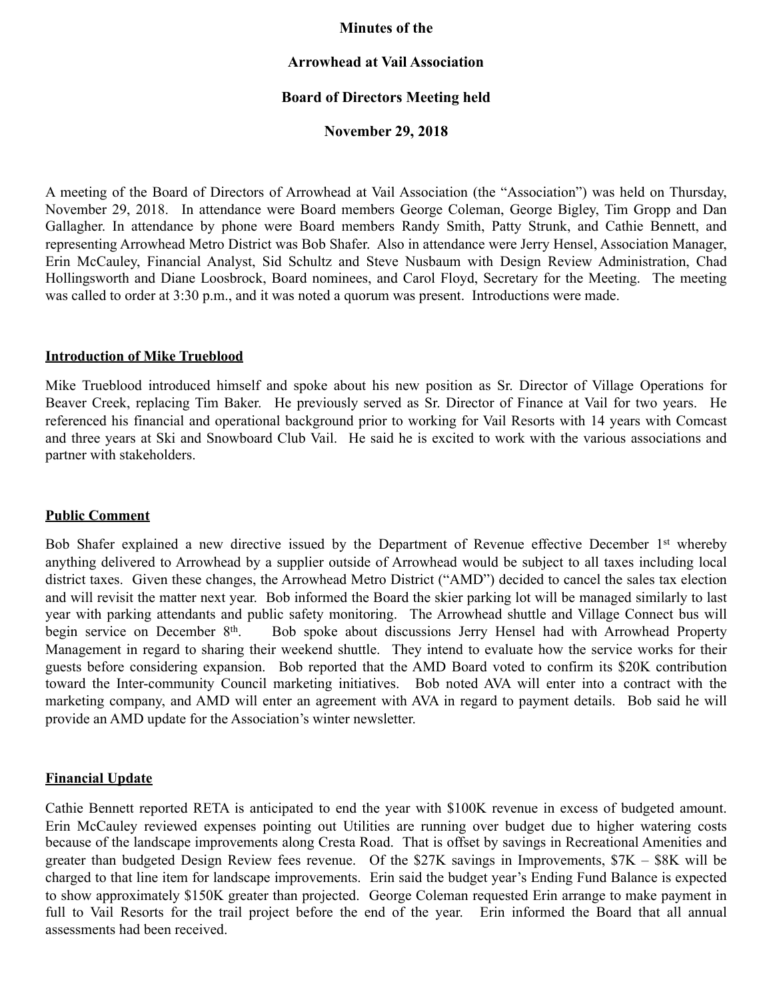### **Minutes of the**

## **Arrowhead at Vail Association**

## **Board of Directors Meeting held**

### **November 29, 2018**

A meeting of the Board of Directors of Arrowhead at Vail Association (the "Association") was held on Thursday, November 29, 2018. In attendance were Board members George Coleman, George Bigley, Tim Gropp and Dan Gallagher. In attendance by phone were Board members Randy Smith, Patty Strunk, and Cathie Bennett, and representing Arrowhead Metro District was Bob Shafer. Also in attendance were Jerry Hensel, Association Manager, Erin McCauley, Financial Analyst, Sid Schultz and Steve Nusbaum with Design Review Administration, Chad Hollingsworth and Diane Loosbrock, Board nominees, and Carol Floyd, Secretary for the Meeting. The meeting was called to order at 3:30 p.m., and it was noted a quorum was present. Introductions were made.

### **Introduction of Mike Trueblood**

Mike Trueblood introduced himself and spoke about his new position as Sr. Director of Village Operations for Beaver Creek, replacing Tim Baker. He previously served as Sr. Director of Finance at Vail for two years. He referenced his financial and operational background prior to working for Vail Resorts with 14 years with Comcast and three years at Ski and Snowboard Club Vail. He said he is excited to work with the various associations and partner with stakeholders.

### **Public Comment**

Bob Shafer explained a new directive issued by the Department of Revenue effective December 1<sup>st</sup> whereby anything delivered to Arrowhead by a supplier outside of Arrowhead would be subject to all taxes including local district taxes. Given these changes, the Arrowhead Metro District ("AMD") decided to cancel the sales tax election and will revisit the matter next year. Bob informed the Board the skier parking lot will be managed similarly to last year with parking attendants and public safety monitoring. The Arrowhead shuttle and Village Connect bus will begin service on December 8<sup>th</sup>. Bob spoke about discussions Jerry Hensel had with Arrowhead Property Management in regard to sharing their weekend shuttle. They intend to evaluate how the service works for their guests before considering expansion. Bob reported that the AMD Board voted to confirm its \$20K contribution toward the Inter-community Council marketing initiatives. Bob noted AVA will enter into a contract with the marketing company, and AMD will enter an agreement with AVA in regard to payment details. Bob said he will provide an AMD update for the Association's winter newsletter.

## **Financial Update**

Cathie Bennett reported RETA is anticipated to end the year with \$100K revenue in excess of budgeted amount. Erin McCauley reviewed expenses pointing out Utilities are running over budget due to higher watering costs because of the landscape improvements along Cresta Road. That is offset by savings in Recreational Amenities and greater than budgeted Design Review fees revenue. Of the \$27K savings in Improvements, \$7K – \$8K will be charged to that line item for landscape improvements. Erin said the budget year's Ending Fund Balance is expected to show approximately \$150K greater than projected. George Coleman requested Erin arrange to make payment in full to Vail Resorts for the trail project before the end of the year. Erin informed the Board that all annual assessments had been received.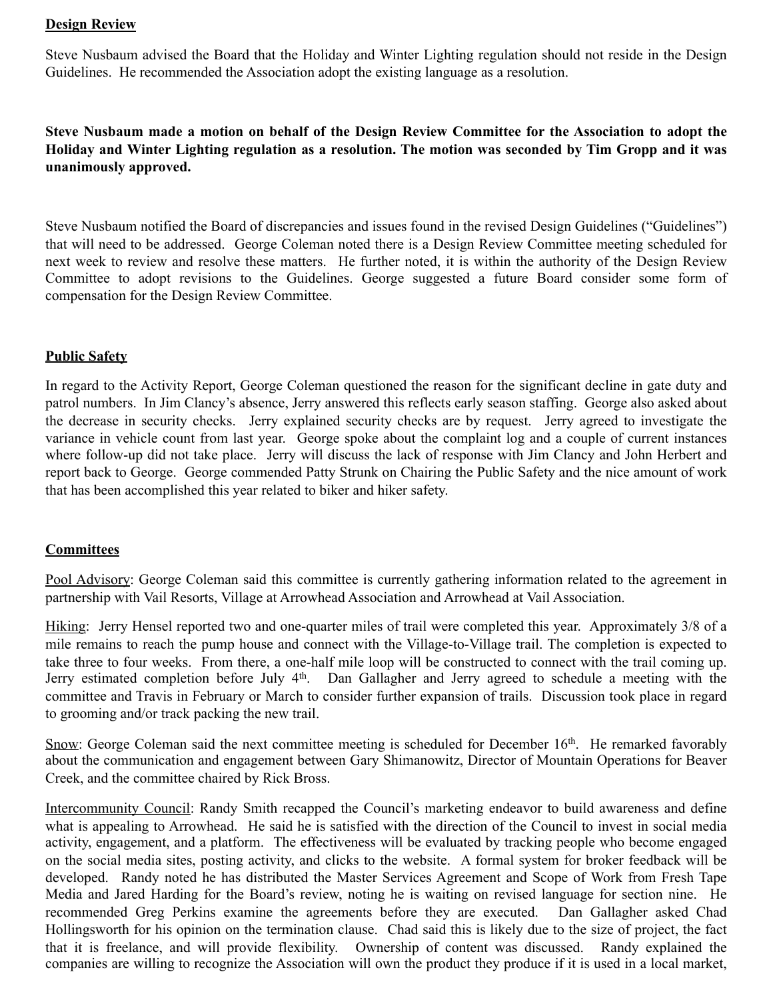### **Design Review**

Steve Nusbaum advised the Board that the Holiday and Winter Lighting regulation should not reside in the Design Guidelines. He recommended the Association adopt the existing language as a resolution.

**Steve Nusbaum made a motion on behalf of the Design Review Committee for the Association to adopt the Holiday and Winter Lighting regulation as a resolution. The motion was seconded by Tim Gropp and it was unanimously approved.** 

Steve Nusbaum notified the Board of discrepancies and issues found in the revised Design Guidelines ("Guidelines") that will need to be addressed. George Coleman noted there is a Design Review Committee meeting scheduled for next week to review and resolve these matters. He further noted, it is within the authority of the Design Review Committee to adopt revisions to the Guidelines. George suggested a future Board consider some form of compensation for the Design Review Committee.

### **Public Safety**

In regard to the Activity Report, George Coleman questioned the reason for the significant decline in gate duty and patrol numbers. In Jim Clancy's absence, Jerry answered this reflects early season staffing. George also asked about the decrease in security checks. Jerry explained security checks are by request. Jerry agreed to investigate the variance in vehicle count from last year. George spoke about the complaint log and a couple of current instances where follow-up did not take place. Jerry will discuss the lack of response with Jim Clancy and John Herbert and report back to George. George commended Patty Strunk on Chairing the Public Safety and the nice amount of work that has been accomplished this year related to biker and hiker safety.

### **Committees**

Pool Advisory: George Coleman said this committee is currently gathering information related to the agreement in partnership with Vail Resorts, Village at Arrowhead Association and Arrowhead at Vail Association.

Hiking: Jerry Hensel reported two and one-quarter miles of trail were completed this year. Approximately 3/8 of a mile remains to reach the pump house and connect with the Village-to-Village trail. The completion is expected to take three to four weeks. From there, a one-half mile loop will be constructed to connect with the trail coming up. Jerry estimated completion before July 4<sup>th</sup>. Dan Gallagher and Jerry agreed to schedule a meeting with the committee and Travis in February or March to consider further expansion of trails. Discussion took place in regard to grooming and/or track packing the new trail.

Snow: George Coleman said the next committee meeting is scheduled for December 16<sup>th</sup>. He remarked favorably about the communication and engagement between Gary Shimanowitz, Director of Mountain Operations for Beaver Creek, and the committee chaired by Rick Bross.

Intercommunity Council: Randy Smith recapped the Council's marketing endeavor to build awareness and define what is appealing to Arrowhead. He said he is satisfied with the direction of the Council to invest in social media activity, engagement, and a platform. The effectiveness will be evaluated by tracking people who become engaged on the social media sites, posting activity, and clicks to the website. A formal system for broker feedback will be developed. Randy noted he has distributed the Master Services Agreement and Scope of Work from Fresh Tape Media and Jared Harding for the Board's review, noting he is waiting on revised language for section nine. He recommended Greg Perkins examine the agreements before they are executed. Dan Gallagher asked Chad Hollingsworth for his opinion on the termination clause. Chad said this is likely due to the size of project, the fact that it is freelance, and will provide flexibility. Ownership of content was discussed. Randy explained the companies are willing to recognize the Association will own the product they produce if it is used in a local market,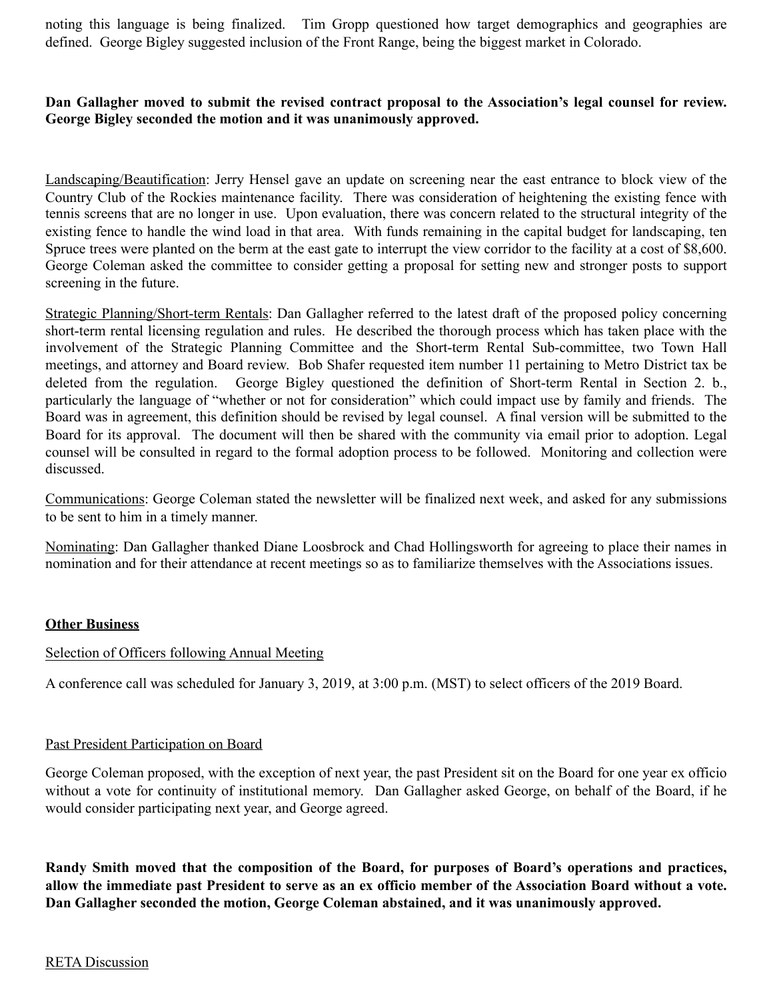noting this language is being finalized. Tim Gropp questioned how target demographics and geographies are defined. George Bigley suggested inclusion of the Front Range, being the biggest market in Colorado.

## **Dan Gallagher moved to submit the revised contract proposal to the Association's legal counsel for review. George Bigley seconded the motion and it was unanimously approved.**

Landscaping/Beautification: Jerry Hensel gave an update on screening near the east entrance to block view of the Country Club of the Rockies maintenance facility. There was consideration of heightening the existing fence with tennis screens that are no longer in use. Upon evaluation, there was concern related to the structural integrity of the existing fence to handle the wind load in that area. With funds remaining in the capital budget for landscaping, ten Spruce trees were planted on the berm at the east gate to interrupt the view corridor to the facility at a cost of \$8,600. George Coleman asked the committee to consider getting a proposal for setting new and stronger posts to support screening in the future.

Strategic Planning/Short-term Rentals: Dan Gallagher referred to the latest draft of the proposed policy concerning short-term rental licensing regulation and rules. He described the thorough process which has taken place with the involvement of the Strategic Planning Committee and the Short-term Rental Sub-committee, two Town Hall meetings, and attorney and Board review. Bob Shafer requested item number 11 pertaining to Metro District tax be deleted from the regulation. George Bigley questioned the definition of Short-term Rental in Section 2. b., particularly the language of "whether or not for consideration" which could impact use by family and friends. The Board was in agreement, this definition should be revised by legal counsel. A final version will be submitted to the Board for its approval. The document will then be shared with the community via email prior to adoption. Legal counsel will be consulted in regard to the formal adoption process to be followed. Monitoring and collection were discussed.

Communications: George Coleman stated the newsletter will be finalized next week, and asked for any submissions to be sent to him in a timely manner.

Nominating: Dan Gallagher thanked Diane Loosbrock and Chad Hollingsworth for agreeing to place their names in nomination and for their attendance at recent meetings so as to familiarize themselves with the Associations issues.

### **Other Business**

### Selection of Officers following Annual Meeting

A conference call was scheduled for January 3, 2019, at 3:00 p.m. (MST) to select officers of the 2019 Board.

### Past President Participation on Board

George Coleman proposed, with the exception of next year, the past President sit on the Board for one year ex officio without a vote for continuity of institutional memory. Dan Gallagher asked George, on behalf of the Board, if he would consider participating next year, and George agreed.

**Randy Smith moved that the composition of the Board, for purposes of Board's operations and practices, allow the immediate past President to serve as an ex officio member of the Association Board without a vote. Dan Gallagher seconded the motion, George Coleman abstained, and it was unanimously approved.** 

### RETA Discussion